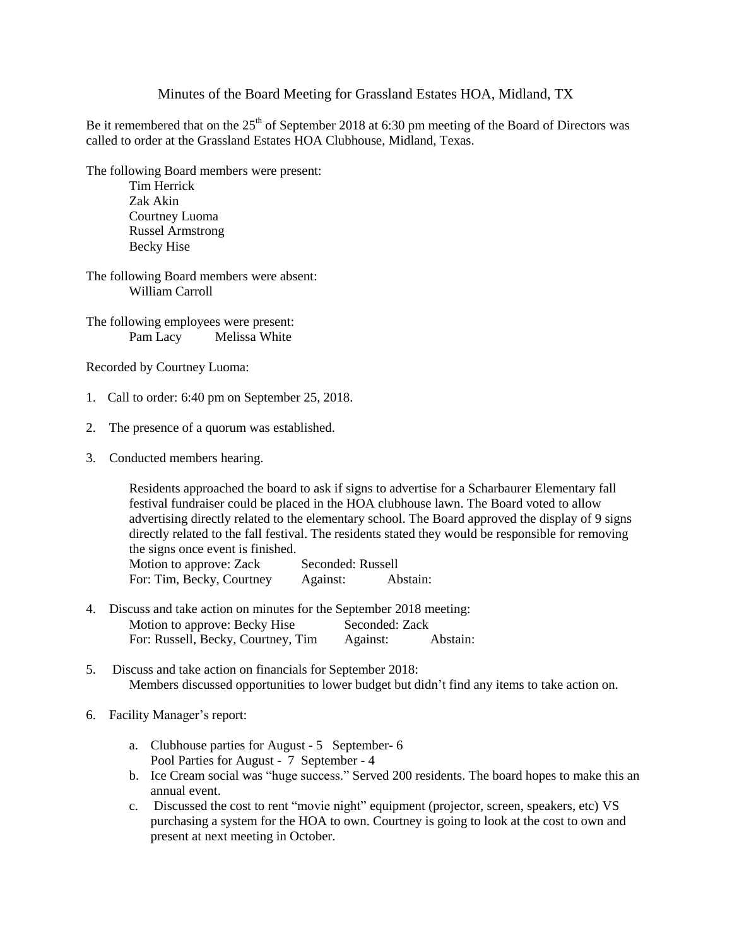## Minutes of the Board Meeting for Grassland Estates HOA, Midland, TX

Be it remembered that on the  $25<sup>th</sup>$  of September 2018 at 6:30 pm meeting of the Board of Directors was called to order at the Grassland Estates HOA Clubhouse, Midland, Texas.

The following Board members were present:

Tim Herrick Zak Akin Courtney Luoma Russel Armstrong Becky Hise

The following Board members were absent: William Carroll

The following employees were present: Pam Lacy Melissa White

Recorded by Courtney Luoma:

- 1. Call to order: 6:40 pm on September 25, 2018.
- 2. The presence of a quorum was established.
- 3. Conducted members hearing.

Residents approached the board to ask if signs to advertise for a Scharbaurer Elementary fall festival fundraiser could be placed in the HOA clubhouse lawn. The Board voted to allow advertising directly related to the elementary school. The Board approved the display of 9 signs directly related to the fall festival. The residents stated they would be responsible for removing the signs once event is finished.

Motion to approve: Zack Seconded: Russell For: Tim, Becky, Courtney Against: Abstain:

- 4. Discuss and take action on minutes for the September 2018 meeting: Motion to approve: Becky Hise Seconded: Zack For: Russell, Becky, Courtney, Tim Against: Abstain:
- 5. Discuss and take action on financials for September 2018: Members discussed opportunities to lower budget but didn't find any items to take action on.
- 6. Facility Manager's report:
	- a. Clubhouse parties for August 5 September- 6 Pool Parties for August - 7 September - 4
	- b. Ice Cream social was "huge success." Served 200 residents. The board hopes to make this an annual event.
	- c. Discussed the cost to rent "movie night" equipment (projector, screen, speakers, etc) VS purchasing a system for the HOA to own. Courtney is going to look at the cost to own and present at next meeting in October.